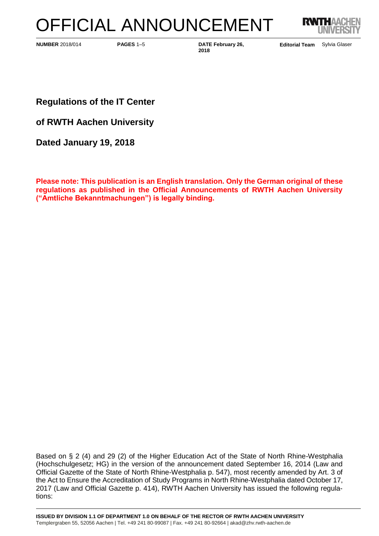# OFFICIAL ANNOUNCEMENT



**PAGES** 1–5 **DATE February 26, NUMBER** 2018/014 **Editorial Team**

**2018**

Editorial Team Sylvia Glaser

**Regulations of the IT Center**

**of RWTH Aachen University**

**Dated January 19, 2018**

**Please note: This publication is an English translation. Only the German original of these regulations as published in the Official Announcements of RWTH Aachen University ("Amtliche Bekanntmachungen") is legally binding.**

Based on § 2 (4) and 29 (2) of the Higher Education Act of the State of North Rhine-Westphalia (Hochschulgesetz; HG) in the version of the announcement dated September 16, 2014 (Law and Official Gazette of the State of North Rhine-Westphalia p. 547), most recently amended by Art. 3 of the Act to Ensure the Accreditation of Study Programs in North Rhine-Westphalia dated October 17, 2017 (Law and Official Gazette p. 414), RWTH Aachen University has issued the following regulations: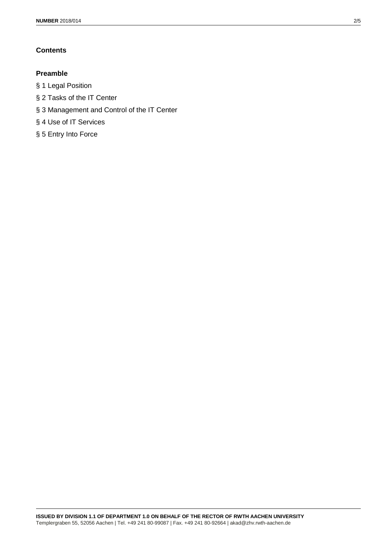# **Contents**

# **Preamble**

- § 1 Legal Position
- § 2 Tasks of the IT Center
- § 3 Management and Control of the IT Center
- § 4 Use of IT Services
- § 5 Entry Into Force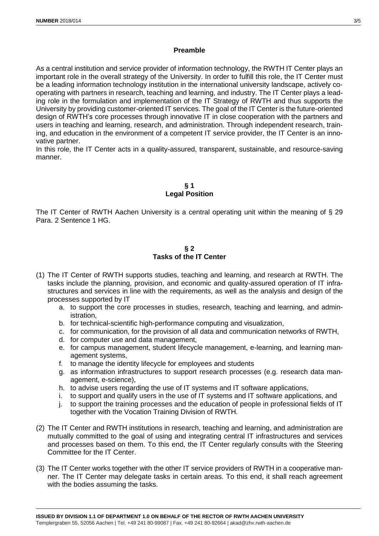## **Preamble**

As a central institution and service provider of information technology, the RWTH IT Center plays an important role in the overall strategy of the University. In order to fulfill this role, the IT Center must be a leading information technology institution in the international university landscape, actively cooperating with partners in research, teaching and learning, and industry. The IT Center plays a leading role in the formulation and implementation of the IT Strategy of RWTH and thus supports the University by providing customer-oriented IT services. The goal of the IT Center is the future-oriented design of RWTH's core processes through innovative IT in close cooperation with the partners and users in teaching and learning, research, and administration. Through independent research, training, and education in the environment of a competent IT service provider, the IT Center is an innovative partner.

In this role, the IT Center acts in a quality-assured, transparent, sustainable, and resource-saving manner.

# **§ 1 Legal Position**

The IT Center of RWTH Aachen University is a central operating unit within the meaning of § 29 Para. 2 Sentence 1 HG.

### **§ 2 Tasks of the IT Center**

- (1) The IT Center of RWTH supports studies, teaching and learning, and research at RWTH. The tasks include the planning, provision, and economic and quality-assured operation of IT infrastructures and services in line with the requirements, as well as the analysis and design of the processes supported by IT
	- a. to support the core processes in studies, research, teaching and learning, and administration,
	- b. for technical-scientific high-performance computing and visualization,
	- c. for communication, for the provision of all data and communication networks of RWTH,
	- d. for computer use and data management,
	- e. for campus management, student lifecycle management, e-learning, and learning management systems,
	- f. to manage the identity lifecycle for employees and students
	- g. as information infrastructures to support research processes (e.g. research data management, e-science),
	- h. to advise users regarding the use of IT systems and IT software applications,
	- i. to support and qualify users in the use of IT systems and IT software applications, and
	- j. to support the training processes and the education of people in professional fields of IT together with the Vocation Training Division of RWTH.
- (2) The IT Center and RWTH institutions in research, teaching and learning, and administration are mutually committed to the goal of using and integrating central IT infrastructures and services and processes based on them. To this end, the IT Center regularly consults with the Steering Committee for the IT Center.
- (3) The IT Center works together with the other IT service providers of RWTH in a cooperative manner. The IT Center may delegate tasks in certain areas. To this end, it shall reach agreement with the bodies assuming the tasks.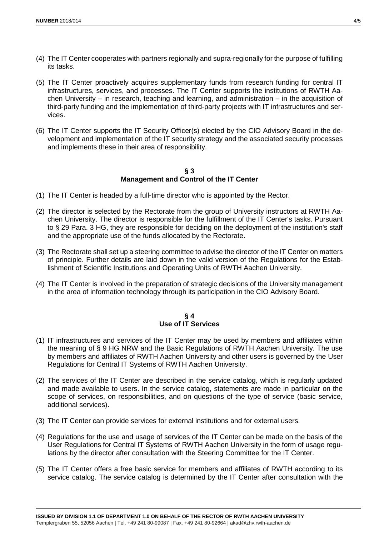- (4) The IT Center cooperates with partners regionally and supra-regionally for the purpose of fulfilling its tasks.
- (5) The IT Center proactively acquires supplementary funds from research funding for central IT infrastructures, services, and processes. The IT Center supports the institutions of RWTH Aachen University – in research, teaching and learning, and administration – in the acquisition of third-party funding and the implementation of third-party projects with IT infrastructures and services.
- (6) The IT Center supports the IT Security Officer(s) elected by the CIO Advisory Board in the development and implementation of the IT security strategy and the associated security processes and implements these in their area of responsibility.

### **§ 3 Management and Control of the IT Center**

- (1) The IT Center is headed by a full-time director who is appointed by the Rector.
- (2) The director is selected by the Rectorate from the group of University instructors at RWTH Aachen University. The director is responsible for the fulfillment of the IT Center's tasks. Pursuant to § 29 Para. 3 HG, they are responsible for deciding on the deployment of the institution's staff and the appropriate use of the funds allocated by the Rectorate.
- (3) The Rectorate shall set up a steering committee to advise the director of the IT Center on matters of principle. Further details are laid down in the valid version of the Regulations for the Establishment of Scientific Institutions and Operating Units of RWTH Aachen University.
- (4) The IT Center is involved in the preparation of strategic decisions of the University management in the area of information technology through its participation in the CIO Advisory Board.

## **§ 4 Use of IT Services**

- (1) IT infrastructures and services of the IT Center may be used by members and affiliates within the meaning of § 9 HG NRW and the Basic Regulations of RWTH Aachen University. The use by members and affiliates of RWTH Aachen University and other users is governed by the User Regulations for Central IT Systems of RWTH Aachen University.
- (2) The services of the IT Center are described in the service catalog, which is regularly updated and made available to users. In the service catalog, statements are made in particular on the scope of services, on responsibilities, and on questions of the type of service (basic service, additional services).
- (3) The IT Center can provide services for external institutions and for external users.
- (4) Regulations for the use and usage of services of the IT Center can be made on the basis of the User Regulations for Central IT Systems of RWTH Aachen University in the form of usage regulations by the director after consultation with the Steering Committee for the IT Center.
- (5) The IT Center offers a free basic service for members and affiliates of RWTH according to its service catalog. The service catalog is determined by the IT Center after consultation with the